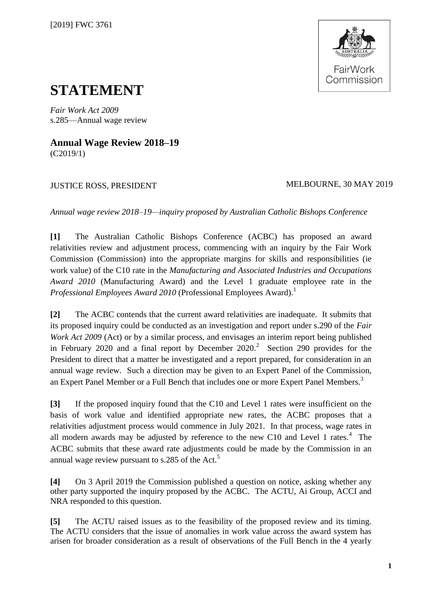

# **STATEMENT**

*Fair Work Act 2009* s.285—Annual wage review

**Annual Wage Review 2018–19** (C2019/1)

# JUSTICE ROSS, PRESIDENT MELBOURNE, 30 MAY 2019

*Annual wage review 2018–19—inquiry proposed by Australian Catholic Bishops Conference*

**[1]** The Australian Catholic Bishops Conference (ACBC) has proposed an award relativities review and adjustment process, commencing with an inquiry by the Fair Work Commission (Commission) into the appropriate margins for skills and responsibilities (ie work value) of the C10 rate in the *Manufacturing and Associated Industries and Occupations Award 2010* (Manufacturing Award) and the Level 1 graduate employee rate in the *Professional Employees Award 2010* (Professional Employees Award). 1

**[2]** The ACBC contends that the current award relativities are inadequate. It submits that its proposed inquiry could be conducted as an investigation and report under s.290 of the *Fair Work Act 2009* (Act) or by a similar process, and envisages an interim report being published in February 2020 and a final report by December 2020.<sup>2</sup> Section 290 provides for the President to direct that a matter be investigated and a report prepared, for consideration in an annual wage review. Such a direction may be given to an Expert Panel of the Commission, an Expert Panel Member or a Full Bench that includes one or more Expert Panel Members.<sup>3</sup>

**[3]** If the proposed inquiry found that the C10 and Level 1 rates were insufficient on the basis of work value and identified appropriate new rates, the ACBC proposes that a relativities adjustment process would commence in July 2021. In that process, wage rates in all modern awards may be adjusted by reference to the new C10 and Level 1 rates. $4$  The ACBC submits that these award rate adjustments could be made by the Commission in an annual wage review pursuant to s.285 of the Act.<sup>5</sup>

**[4]** On 3 April 2019 the Commission published a question on notice, asking whether any other party supported the inquiry proposed by the ACBC. The ACTU, Ai Group, ACCI and NRA responded to this question.

**[5]** The ACTU raised issues as to the feasibility of the proposed review and its timing. The ACTU considers that the issue of anomalies in work value across the award system has arisen for broader consideration as a result of observations of the Full Bench in the 4 yearly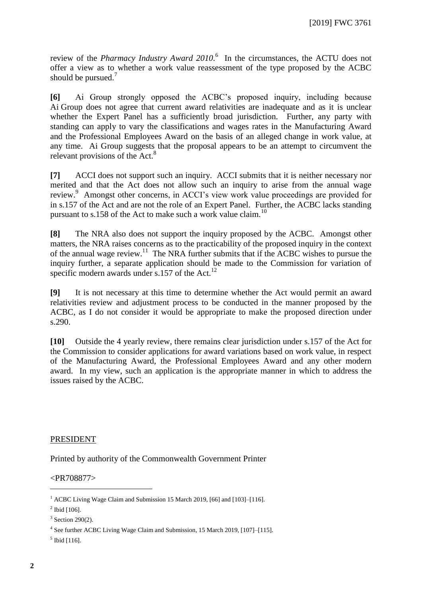review of the *Pharmacy Industry Award 2010*. In the circumstances, the ACTU does not offer a view as to whether a work value reassessment of the type proposed by the ACBC should be pursued. $<sup>7</sup>$ </sup>

**[6]** Ai Group strongly opposed the ACBC's proposed inquiry, including because Ai Group does not agree that current award relativities are inadequate and as it is unclear whether the Expert Panel has a sufficiently broad jurisdiction. Further, any party with standing can apply to vary the classifications and wages rates in the Manufacturing Award and the Professional Employees Award on the basis of an alleged change in work value, at any time. Ai Group suggests that the proposal appears to be an attempt to circumvent the relevant provisions of the Act.<sup>8</sup>

**[7]** ACCI does not support such an inquiry. ACCI submits that it is neither necessary nor merited and that the Act does not allow such an inquiry to arise from the annual wage review.<sup>9</sup> Amongst other concerns, in ACCI's view work value proceedings are provided for in s.157 of the Act and are not the role of an Expert Panel. Further, the ACBC lacks standing pursuant to s.158 of the Act to make such a work value claim.<sup>10</sup>

**[8]** The NRA also does not support the inquiry proposed by the ACBC. Amongst other matters, the NRA raises concerns as to the practicability of the proposed inquiry in the context of the annual wage review.<sup>11</sup> The NRA further submits that if the ACBC wishes to pursue the inquiry further, a separate application should be made to the Commission for variation of specific modern awards under s.157 of the Act.<sup>12</sup>

**[9]** It is not necessary at this time to determine whether the Act would permit an award relativities review and adjustment process to be conducted in the manner proposed by the ACBC, as I do not consider it would be appropriate to make the proposed direction under s.290.

**[10]** Outside the 4 yearly review, there remains clear jurisdiction under s.157 of the Act for the Commission to consider applications for award variations based on work value, in respect of the Manufacturing Award, the Professional Employees Award and any other modern award. In my view, such an application is the appropriate manner in which to address the issues raised by the ACBC.

## PRESIDENT

Printed by authority of the Commonwealth Government Printer

## <PR708877>

 $\overline{a}$ 

<sup>&</sup>lt;sup>1</sup> ACBC Living Wage Claim and Submission 15 March 2019, [66] and [103]–[116].

 $^{2}$  Ibid [106].

 $3$  Section 290(2).

<sup>4</sup> See further ACBC Living Wage Claim and Submission, 15 March 2019, [107]–[115].

 $<sup>5</sup>$  Ibid [116].</sup>